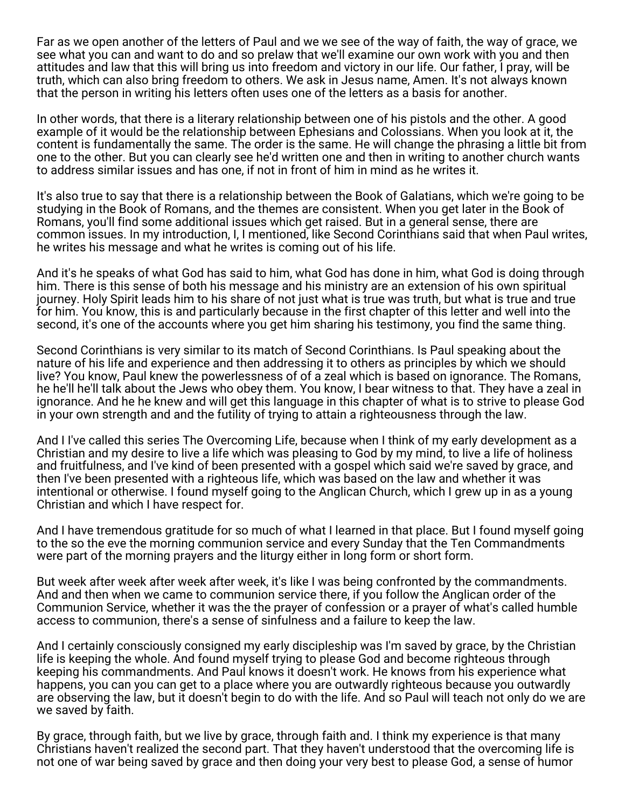Far as we open another of the letters of Paul and we we see of the way of faith, the way of grace, we see what you can and want to do and so prelaw that we'll examine our own work with you and then attitudes and law that this will bring us into freedom and victory in our life. Our father, I pray, will be truth, which can also bring freedom to others. We ask in Jesus name, Amen. It's not always known that the person in writing his letters often uses one of the letters as a basis for another.

In other words, that there is a literary relationship between one of his pistols and the other. A good example of it would be the relationship between Ephesians and Colossians. When you look at it, the content is fundamentally the same. The order is the same. He will change the phrasing a little bit from one to the other. But you can clearly see he'd written one and then in writing to another church wants to address similar issues and has one, if not in front of him in mind as he writes it.

It's also true to say that there is a relationship between the Book of Galatians, which we're going to be studying in the Book of Romans, and the themes are consistent. When you get later in the Book of Romans, you'll find some additional issues which get raised. But in a general sense, there are common issues. In my introduction, I, I mentioned, like Second Corinthians said that when Paul writes, he writes his message and what he writes is coming out of his life.

And it's he speaks of what God has said to him, what God has done in him, what God is doing through him. There is this sense of both his message and his ministry are an extension of his own spiritual journey. Holy Spirit leads him to his share of not just what is true was truth, but what is true and true for him. You know, this is and particularly because in the first chapter of this letter and well into the second, it's one of the accounts where you get him sharing his testimony, you find the same thing.

Second Corinthians is very similar to its match of Second Corinthians. Is Paul speaking about the nature of his life and experience and then addressing it to others as principles by which we should live? You know, Paul knew the powerlessness of of a zeal which is based on ignorance. The Romans, he he'll he'll talk about the Jews who obey them. You know, I bear witness to that. They have a zeal in ignorance. And he he knew and will get this language in this chapter of what is to strive to please God in your own strength and and the futility of trying to attain a righteousness through the law.

And I I've called this series The Overcoming Life, because when I think of my early development as a Christian and my desire to live a life which was pleasing to God by my mind, to live a life of holiness and fruitfulness, and I've kind of been presented with a gospel which said we're saved by grace, and then I've been presented with a righteous life, which was based on the law and whether it was intentional or otherwise. I found myself going to the Anglican Church, which I grew up in as a young Christian and which I have respect for.

And I have tremendous gratitude for so much of what I learned in that place. But I found myself going to the so the eve the morning communion service and every Sunday that the Ten Commandments were part of the morning prayers and the liturgy either in long form or short form.

But week after week after week after week, it's like I was being confronted by the commandments. And and then when we came to communion service there, if you follow the Anglican order of the Communion Service, whether it was the the prayer of confession or a prayer of what's called humble access to communion, there's a sense of sinfulness and a failure to keep the law.

And I certainly consciously consigned my early discipleship was I'm saved by grace, by the Christian life is keeping the whole. And found myself trying to please God and become righteous through keeping his commandments. And Paul knows it doesn't work. He knows from his experience what happens, you can you can get to a place where you are outwardly righteous because you outwardly are observing the law, but it doesn't begin to do with the life. And so Paul will teach not only do we are we saved by faith.

By grace, through faith, but we live by grace, through faith and. I think my experience is that many Christians haven't realized the second part. That they haven't understood that the overcoming life is not one of war being saved by grace and then doing your very best to please God, a sense of humor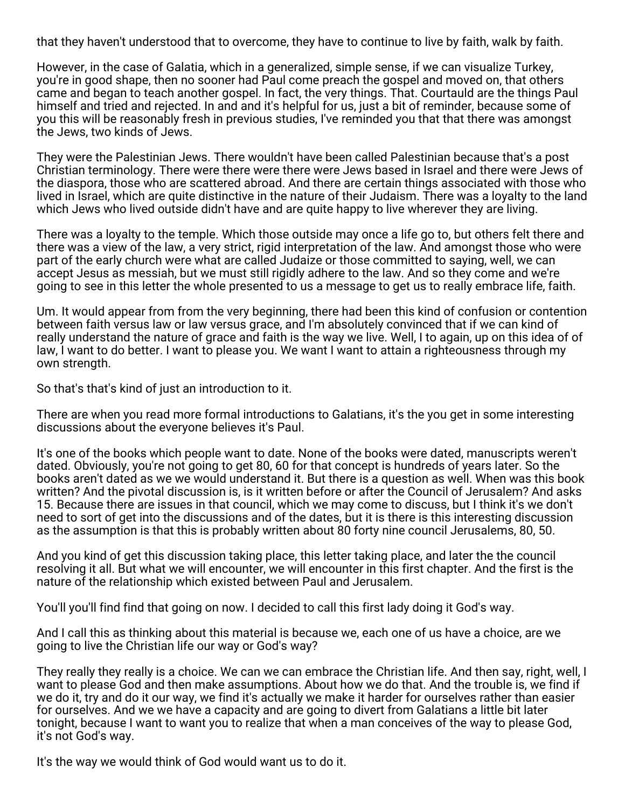that they haven't understood that to overcome, they have to continue to live by faith, walk by faith.

However, in the case of Galatia, which in a generalized, simple sense, if we can visualize Turkey, you're in good shape, then no sooner had Paul come preach the gospel and moved on, that others came and began to teach another gospel. In fact, the very things. That. Courtauld are the things Paul himself and tried and rejected. In and and it's helpful for us, just a bit of reminder, because some of you this will be reasonably fresh in previous studies, I've reminded you that that there was amongst the Jews, two kinds of Jews.

They were the Palestinian Jews. There wouldn't have been called Palestinian because that's a post Christian terminology. There were there were there were Jews based in Israel and there were Jews of the diaspora, those who are scattered abroad. And there are certain things associated with those who lived in Israel, which are quite distinctive in the nature of their Judaism. There was a loyalty to the land which Jews who lived outside didn't have and are quite happy to live wherever they are living.

There was a loyalty to the temple. Which those outside may once a life go to, but others felt there and there was a view of the law, a very strict, rigid interpretation of the law. And amongst those who were part of the early church were what are called Judaize or those committed to saying, well, we can accept Jesus as messiah, but we must still rigidly adhere to the law. And so they come and we're going to see in this letter the whole presented to us a message to get us to really embrace life, faith.

Um. It would appear from from the very beginning, there had been this kind of confusion or contention between faith versus law or law versus grace, and I'm absolutely convinced that if we can kind of really understand the nature of grace and faith is the way we live. Well, I to again, up on this idea of of law, I want to do better. I want to please you. We want I want to attain a righteousness through my own strength.

So that's that's kind of just an introduction to it.

There are when you read more formal introductions to Galatians, it's the you get in some interesting discussions about the everyone believes it's Paul.

It's one of the books which people want to date. None of the books were dated, manuscripts weren't dated. Obviously, you're not going to get 80, 60 for that concept is hundreds of years later. So the books aren't dated as we we would understand it. But there is a question as well. When was this book written? And the pivotal discussion is, is it written before or after the Council of Jerusalem? And asks 15. Because there are issues in that council, which we may come to discuss, but I think it's we don't need to sort of get into the discussions and of the dates, but it is there is this interesting discussion as the assumption is that this is probably written about 80 forty nine council Jerusalems, 80, 50.

And you kind of get this discussion taking place, this letter taking place, and later the the council resolving it all. But what we will encounter, we will encounter in this first chapter. And the first is the nature of the relationship which existed between Paul and Jerusalem.

You'll you'll find find that going on now. I decided to call this first lady doing it God's way.

And I call this as thinking about this material is because we, each one of us have a choice, are we going to live the Christian life our way or God's way?

They really they really is a choice. We can we can embrace the Christian life. And then say, right, well, I want to please God and then make assumptions. About how we do that. And the trouble is, we find if we do it, try and do it our way, we find it's actually we make it harder for ourselves rather than easier for ourselves. And we we have a capacity and are going to divert from Galatians a little bit later tonight, because I want to want you to realize that when a man conceives of the way to please God, it's not God's way.

It's the way we would think of God would want us to do it.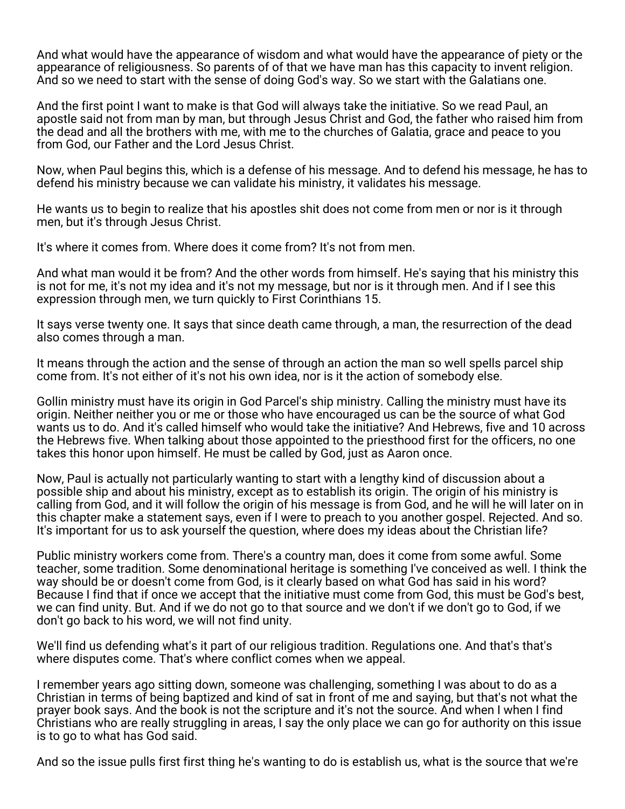And what would have the appearance of wisdom and what would have the appearance of piety or the appearance of religiousness. So parents of of that we have man has this capacity to invent religion. And so we need to start with the sense of doing God's way. So we start with the Galatians one.

And the first point I want to make is that God will always take the initiative. So we read Paul, an apostle said not from man by man, but through Jesus Christ and God, the father who raised him from the dead and all the brothers with me, with me to the churches of Galatia, grace and peace to you from God, our Father and the Lord Jesus Christ.

Now, when Paul begins this, which is a defense of his message. And to defend his message, he has to defend his ministry because we can validate his ministry, it validates his message.

He wants us to begin to realize that his apostles shit does not come from men or nor is it through men, but it's through Jesus Christ.

It's where it comes from. Where does it come from? It's not from men.

And what man would it be from? And the other words from himself. He's saying that his ministry this is not for me, it's not my idea and it's not my message, but nor is it through men. And if I see this expression through men, we turn quickly to First Corinthians 15.

It says verse twenty one. It says that since death came through, a man, the resurrection of the dead also comes through a man.

It means through the action and the sense of through an action the man so well spells parcel ship come from. It's not either of it's not his own idea, nor is it the action of somebody else.

Gollin ministry must have its origin in God Parcel's ship ministry. Calling the ministry must have its origin. Neither neither you or me or those who have encouraged us can be the source of what God wants us to do. And it's called himself who would take the initiative? And Hebrews, five and 10 across the Hebrews five. When talking about those appointed to the priesthood first for the officers, no one takes this honor upon himself. He must be called by God, just as Aaron once.

Now, Paul is actually not particularly wanting to start with a lengthy kind of discussion about a possible ship and about his ministry, except as to establish its origin. The origin of his ministry is calling from God, and it will follow the origin of his message is from God, and he will he will later on in this chapter make a statement says, even if I were to preach to you another gospel. Rejected. And so. It's important for us to ask yourself the question, where does my ideas about the Christian life?

Public ministry workers come from. There's a country man, does it come from some awful. Some teacher, some tradition. Some denominational heritage is something I've conceived as well. I think the way should be or doesn't come from God, is it clearly based on what God has said in his word? Because I find that if once we accept that the initiative must come from God, this must be God's best, we can find unity. But. And if we do not go to that source and we don't if we don't go to God, if we don't go back to his word, we will not find unity.

We'll find us defending what's it part of our religious tradition. Regulations one. And that's that's where disputes come. That's where conflict comes when we appeal.

I remember years ago sitting down, someone was challenging, something I was about to do as a Christian in terms of being baptized and kind of sat in front of me and saying, but that's not what the prayer book says. And the book is not the scripture and it's not the source. And when I when I find Christians who are really struggling in areas, I say the only place we can go for authority on this issue is to go to what has God said.

And so the issue pulls first first thing he's wanting to do is establish us, what is the source that we're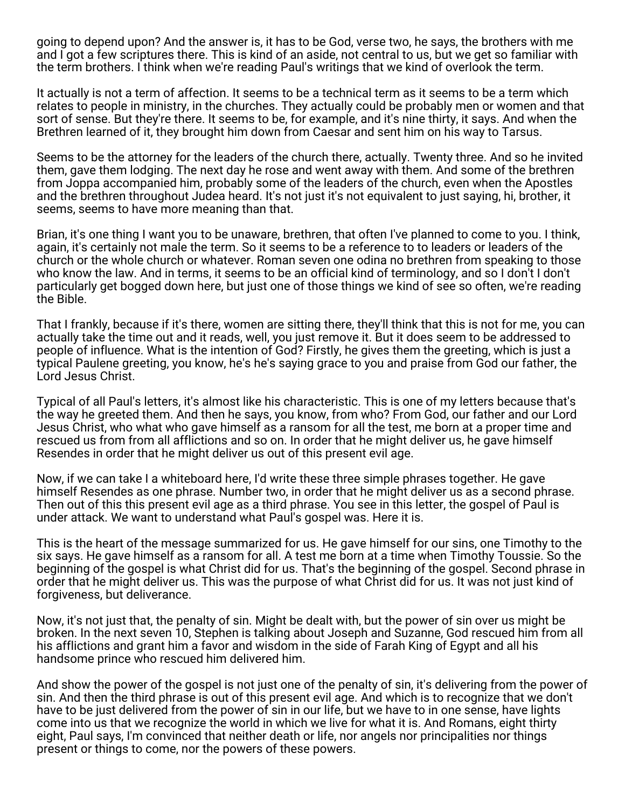going to depend upon? And the answer is, it has to be God, verse two, he says, the brothers with me and I got a few scriptures there. This is kind of an aside, not central to us, but we get so familiar with the term brothers. I think when we're reading Paul's writings that we kind of overlook the term.

It actually is not a term of affection. It seems to be a technical term as it seems to be a term which relates to people in ministry, in the churches. They actually could be probably men or women and that sort of sense. But they're there. It seems to be, for example, and it's nine thirty, it says. And when the Brethren learned of it, they brought him down from Caesar and sent him on his way to Tarsus.

Seems to be the attorney for the leaders of the church there, actually. Twenty three. And so he invited them, gave them lodging. The next day he rose and went away with them. And some of the brethren from Joppa accompanied him, probably some of the leaders of the church, even when the Apostles and the brethren throughout Judea heard. It's not just it's not equivalent to just saying, hi, brother, it seems, seems to have more meaning than that.

Brian, it's one thing I want you to be unaware, brethren, that often I've planned to come to you. I think, again, it's certainly not male the term. So it seems to be a reference to to leaders or leaders of the church or the whole church or whatever. Roman seven one odina no brethren from speaking to those who know the law. And in terms, it seems to be an official kind of terminology, and so I don't I don't particularly get bogged down here, but just one of those things we kind of see so often, we're reading the Bible.

That I frankly, because if it's there, women are sitting there, they'll think that this is not for me, you can actually take the time out and it reads, well, you just remove it. But it does seem to be addressed to people of influence. What is the intention of God? Firstly, he gives them the greeting, which is just a typical Paulene greeting, you know, he's he's saying grace to you and praise from God our father, the Lord Jesus Christ.

Typical of all Paul's letters, it's almost like his characteristic. This is one of my letters because that's the way he greeted them. And then he says, you know, from who? From God, our father and our Lord Jesus Christ, who what who gave himself as a ransom for all the test, me born at a proper time and rescued us from from all afflictions and so on. In order that he might deliver us, he gave himself Resendes in order that he might deliver us out of this present evil age.

Now, if we can take I a whiteboard here, I'd write these three simple phrases together. He gave himself Resendes as one phrase. Number two, in order that he might deliver us as a second phrase. Then out of this this present evil age as a third phrase. You see in this letter, the gospel of Paul is under attack. We want to understand what Paul's gospel was. Here it is.

This is the heart of the message summarized for us. He gave himself for our sins, one Timothy to the six says. He gave himself as a ransom for all. A test me born at a time when Timothy Toussie. So the beginning of the gospel is what Christ did for us. That's the beginning of the gospel. Second phrase in order that he might deliver us. This was the purpose of what Christ did for us. It was not just kind of forgiveness, but deliverance.

Now, it's not just that, the penalty of sin. Might be dealt with, but the power of sin over us might be broken. In the next seven 10, Stephen is talking about Joseph and Suzanne, God rescued him from all his afflictions and grant him a favor and wisdom in the side of Farah King of Egypt and all his handsome prince who rescued him delivered him.

And show the power of the gospel is not just one of the penalty of sin, it's delivering from the power of sin. And then the third phrase is out of this present evil age. And which is to recognize that we don't have to be just delivered from the power of sin in our life, but we have to in one sense, have lights come into us that we recognize the world in which we live for what it is. And Romans, eight thirty eight, Paul says, I'm convinced that neither death or life, nor angels nor principalities nor things present or things to come, nor the powers of these powers.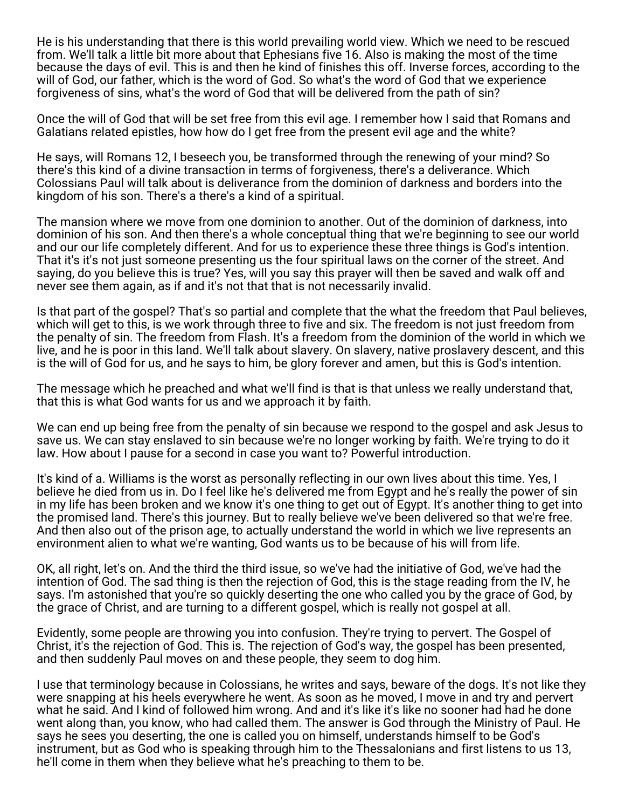He is his understanding that there is this world prevailing world view. Which we need to be rescued from. We'll talk a little bit more about that Ephesians five 16. Also is making the most of the time because the days of evil. This is and then he kind of finishes this off. Inverse forces, according to the will of God, our father, which is the word of God. So what's the word of God that we experience forgiveness of sins, what's the word of God that will be delivered from the path of sin?

Once the will of God that will be set free from this evil age. I remember how I said that Romans and Galatians related epistles, how how do I get free from the present evil age and the white?

He says, will Romans 12, I beseech you, be transformed through the renewing of your mind? So there's this kind of a divine transaction in terms of forgiveness, there's a deliverance. Which Colossians Paul will talk about is deliverance from the dominion of darkness and borders into the kingdom of his son. There's a there's a kind of a spiritual.

The mansion where we move from one dominion to another. Out of the dominion of darkness, into dominion of his son. And then there's a whole conceptual thing that we're beginning to see our world and our our life completely different. And for us to experience these three things is God's intention. That it's it's not just someone presenting us the four spiritual laws on the corner of the street. And saying, do you believe this is true? Yes, will you say this prayer will then be saved and walk off and never see them again, as if and it's not that that is not necessarily invalid.

Is that part of the gospel? That's so partial and complete that the what the freedom that Paul believes, which will get to this, is we work through three to five and six. The freedom is not just freedom from the penalty of sin. The freedom from Flash. It's a freedom from the dominion of the world in which we live, and he is poor in this land. We'll talk about slavery. On slavery, native proslavery descent, and this is the will of God for us, and he says to him, be glory forever and amen, but this is God's intention.

The message which he preached and what we'll find is that is that unless we really understand that, that this is what God wants for us and we approach it by faith.

We can end up being free from the penalty of sin because we respond to the gospel and ask Jesus to save us. We can stay enslaved to sin because we're no longer working by faith. We're trying to do it law. How about I pause for a second in case you want to? Powerful introduction.

It's kind of a. Williams is the worst as personally reflecting in our own lives about this time. Yes, I believe he died from us in. Do I feel like he's delivered me from Egypt and he's really the power of sin in my life has been broken and we know it's one thing to get out of Egypt. It's another thing to get into the promised land. There's this journey. But to really believe we've been delivered so that we're free. And then also out of the prison age, to actually understand the world in which we live represents an environment alien to what we're wanting, God wants us to be because of his will from life.

OK, all right, let's on. And the third the third issue, so we've had the initiative of God, we've had the intention of God. The sad thing is then the rejection of God, this is the stage reading from the IV, he says. I'm astonished that you're so quickly deserting the one who called you by the grace of God, by the grace of Christ, and are turning to a different gospel, which is really not gospel at all.

Evidently, some people are throwing you into confusion. They're trying to pervert. The Gospel of Christ, it's the rejection of God. This is. The rejection of God's way, the gospel has been presented, and then suddenly Paul moves on and these people, they seem to dog him.

I use that terminology because in Colossians, he writes and says, beware of the dogs. It's not like they were snapping at his heels everywhere he went. As soon as he moved, I move in and try and pervert what he said. And I kind of followed him wrong. And and it's like it's like no sooner had had he done went along than, you know, who had called them. The answer is God through the Ministry of Paul. He says he sees you deserting, the one is called you on himself, understands himself to be God's instrument, but as God who is speaking through him to the Thessalonians and first listens to us 13, he'll come in them when they believe what he's preaching to them to be.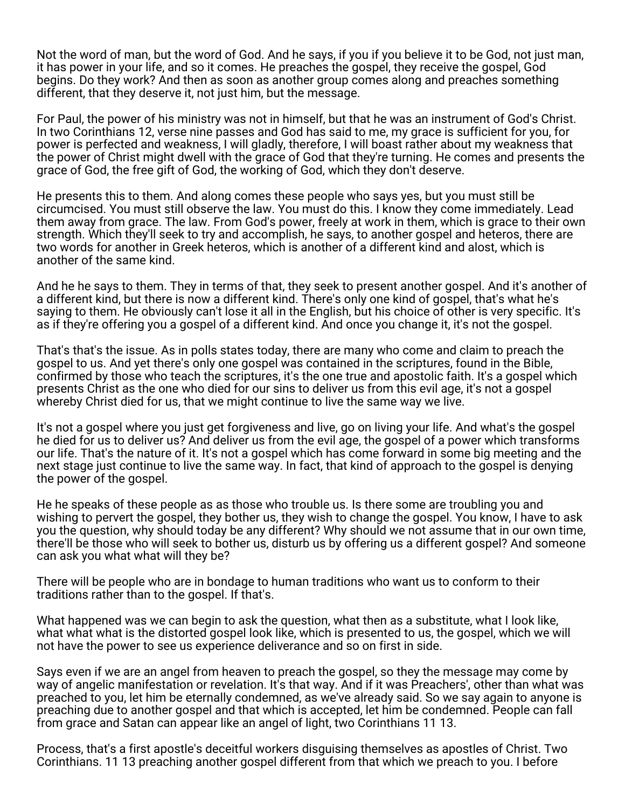Not the word of man, but the word of God. And he says, if you if you believe it to be God, not just man, it has power in your life, and so it comes. He preaches the gospel, they receive the gospel, God begins. Do they work? And then as soon as another group comes along and preaches something different, that they deserve it, not just him, but the message.

For Paul, the power of his ministry was not in himself, but that he was an instrument of God's Christ. In two Corinthians 12, verse nine passes and God has said to me, my grace is sufficient for you, for power is perfected and weakness, I will gladly, therefore, I will boast rather about my weakness that the power of Christ might dwell with the grace of God that they're turning. He comes and presents the grace of God, the free gift of God, the working of God, which they don't deserve.

He presents this to them. And along comes these people who says yes, but you must still be circumcised. You must still observe the law. You must do this. I know they come immediately. Lead them away from grace. The law. From God's power, freely at work in them, which is grace to their own strength. Which they'll seek to try and accomplish, he says, to another gospel and heteros, there are two words for another in Greek heteros, which is another of a different kind and alost, which is another of the same kind.

And he he says to them. They in terms of that, they seek to present another gospel. And it's another of a different kind, but there is now a different kind. There's only one kind of gospel, that's what he's saying to them. He obviously can't lose it all in the English, but his choice of other is very specific. It's as if they're offering you a gospel of a different kind. And once you change it, it's not the gospel.

That's that's the issue. As in polls states today, there are many who come and claim to preach the gospel to us. And yet there's only one gospel was contained in the scriptures, found in the Bible, confirmed by those who teach the scriptures, it's the one true and apostolic faith. It's a gospel which presents Christ as the one who died for our sins to deliver us from this evil age, it's not a gospel whereby Christ died for us, that we might continue to live the same way we live.

It's not a gospel where you just get forgiveness and live, go on living your life. And what's the gospel he died for us to deliver us? And deliver us from the evil age, the gospel of a power which transforms our life. That's the nature of it. It's not a gospel which has come forward in some big meeting and the next stage just continue to live the same way. In fact, that kind of approach to the gospel is denying the power of the gospel.

He he speaks of these people as as those who trouble us. Is there some are troubling you and wishing to pervert the gospel, they bother us, they wish to change the gospel. You know, I have to ask you the question, why should today be any different? Why should we not assume that in our own time, there'll be those who will seek to bother us, disturb us by offering us a different gospel? And someone can ask you what what will they be?

There will be people who are in bondage to human traditions who want us to conform to their traditions rather than to the gospel. If that's.

What happened was we can begin to ask the question, what then as a substitute, what I look like, what what what is the distorted gospel look like, which is presented to us, the gospel, which we will not have the power to see us experience deliverance and so on first in side.

Says even if we are an angel from heaven to preach the gospel, so they the message may come by way of angelic manifestation or revelation. It's that way. And if it was Preachers', other than what was preached to you, let him be eternally condemned, as we've already said. So we say again to anyone is preaching due to another gospel and that which is accepted, let him be condemned. People can fall from grace and Satan can appear like an angel of light, two Corinthians 11 13.

Process, that's a first apostle's deceitful workers disguising themselves as apostles of Christ. Two Corinthians. 11 13 preaching another gospel different from that which we preach to you. I before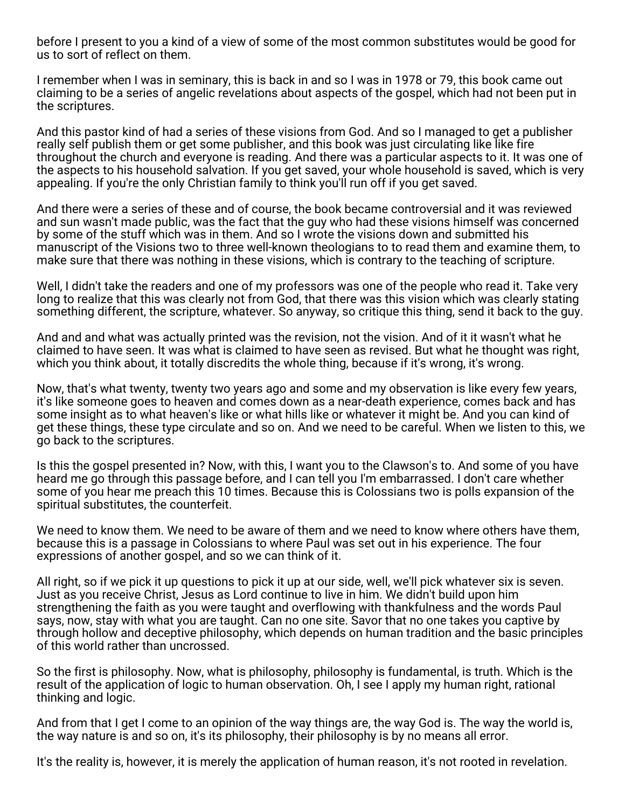before I present to you a kind of a view of some of the most common substitutes would be good for us to sort of reflect on them.

I remember when I was in seminary, this is back in and so I was in 1978 or 79, this book came out claiming to be a series of angelic revelations about aspects of the gospel, which had not been put in the scriptures.

And this pastor kind of had a series of these visions from God. And so I managed to get a publisher really self publish them or get some publisher, and this book was just circulating like like fire throughout the church and everyone is reading. And there was a particular aspects to it. It was one of the aspects to his household salvation. If you get saved, your whole household is saved, which is very appealing. If you're the only Christian family to think you'll run off if you get saved.

And there were a series of these and of course, the book became controversial and it was reviewed and sun wasn't made public, was the fact that the guy who had these visions himself was concerned by some of the stuff which was in them. And so I wrote the visions down and submitted his manuscript of the Visions two to three well-known theologians to to read them and examine them, to make sure that there was nothing in these visions, which is contrary to the teaching of scripture.

Well, I didn't take the readers and one of my professors was one of the people who read it. Take very long to realize that this was clearly not from God, that there was this vision which was clearly stating something different, the scripture, whatever. So anyway, so critique this thing, send it back to the guy.

And and and what was actually printed was the revision, not the vision. And of it it wasn't what he claimed to have seen. It was what is claimed to have seen as revised. But what he thought was right, which you think about, it totally discredits the whole thing, because if it's wrong, it's wrong.

Now, that's what twenty, twenty two years ago and some and my observation is like every few years, it's like someone goes to heaven and comes down as a near-death experience, comes back and has some insight as to what heaven's like or what hills like or whatever it might be. And you can kind of get these things, these type circulate and so on. And we need to be careful. When we listen to this, we go back to the scriptures.

Is this the gospel presented in? Now, with this, I want you to the Clawson's to. And some of you have heard me go through this passage before, and I can tell you I'm embarrassed. I don't care whether some of you hear me preach this 10 times. Because this is Colossians two is polls expansion of the spiritual substitutes, the counterfeit.

We need to know them. We need to be aware of them and we need to know where others have them, because this is a passage in Colossians to where Paul was set out in his experience. The four expressions of another gospel, and so we can think of it.

All right, so if we pick it up questions to pick it up at our side, well, we'll pick whatever six is seven. Just as you receive Christ, Jesus as Lord continue to live in him. We didn't build upon him strengthening the faith as you were taught and overflowing with thankfulness and the words Paul says, now, stay with what you are taught. Can no one site. Savor that no one takes you captive by through hollow and deceptive philosophy, which depends on human tradition and the basic principles of this world rather than uncrossed.

So the first is philosophy. Now, what is philosophy, philosophy is fundamental, is truth. Which is the result of the application of logic to human observation. Oh, I see I apply my human right, rational thinking and logic.

And from that I get I come to an opinion of the way things are, the way God is. The way the world is, the way nature is and so on, it's its philosophy, their philosophy is by no means all error.

It's the reality is, however, it is merely the application of human reason, it's not rooted in revelation.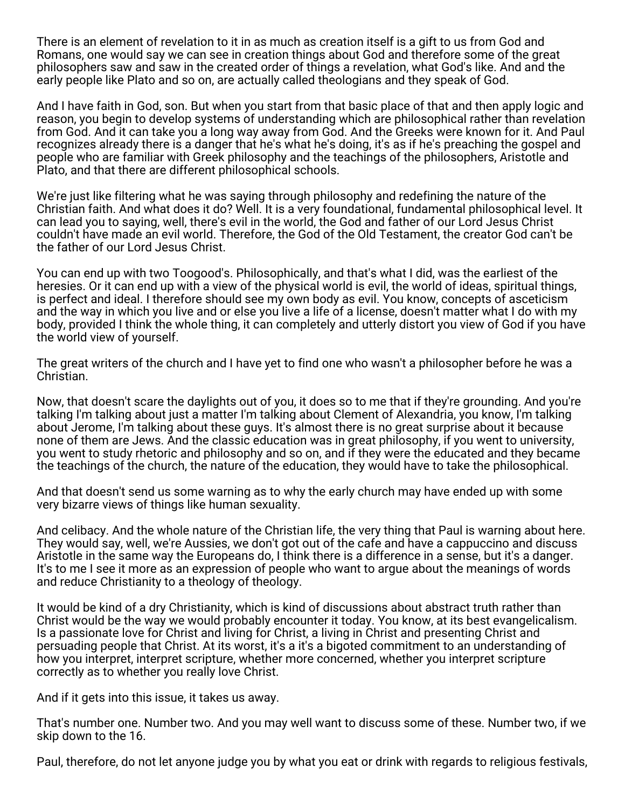There is an element of revelation to it in as much as creation itself is a gift to us from God and Romans, one would say we can see in creation things about God and therefore some of the great philosophers saw and saw in the created order of things a revelation, what God's like. And and the early people like Plato and so on, are actually called theologians and they speak of God.

And I have faith in God, son. But when you start from that basic place of that and then apply logic and reason, you begin to develop systems of understanding which are philosophical rather than revelation from God. And it can take you a long way away from God. And the Greeks were known for it. And Paul recognizes already there is a danger that he's what he's doing, it's as if he's preaching the gospel and people who are familiar with Greek philosophy and the teachings of the philosophers, Aristotle and Plato, and that there are different philosophical schools.

We're just like filtering what he was saying through philosophy and redefining the nature of the Christian faith. And what does it do? Well. It is a very foundational, fundamental philosophical level. It can lead you to saying, well, there's evil in the world, the God and father of our Lord Jesus Christ couldn't have made an evil world. Therefore, the God of the Old Testament, the creator God can't be the father of our Lord Jesus Christ.

You can end up with two Toogood's. Philosophically, and that's what I did, was the earliest of the heresies. Or it can end up with a view of the physical world is evil, the world of ideas, spiritual things, is perfect and ideal. I therefore should see my own body as evil. You know, concepts of asceticism and the way in which you live and or else you live a life of a license, doesn't matter what I do with my body, provided I think the whole thing, it can completely and utterly distort you view of God if you have the world view of yourself.

The great writers of the church and I have yet to find one who wasn't a philosopher before he was a Christian.

Now, that doesn't scare the daylights out of you, it does so to me that if they're grounding. And you're talking I'm talking about just a matter I'm talking about Clement of Alexandria, you know, I'm talking about Jerome, I'm talking about these guys. It's almost there is no great surprise about it because none of them are Jews. And the classic education was in great philosophy, if you went to university, you went to study rhetoric and philosophy and so on, and if they were the educated and they became the teachings of the church, the nature of the education, they would have to take the philosophical.

And that doesn't send us some warning as to why the early church may have ended up with some very bizarre views of things like human sexuality.

And celibacy. And the whole nature of the Christian life, the very thing that Paul is warning about here. They would say, well, we're Aussies, we don't got out of the cafe and have a cappuccino and discuss Aristotle in the same way the Europeans do, I think there is a difference in a sense, but it's a danger. It's to me I see it more as an expression of people who want to argue about the meanings of words and reduce Christianity to a theology of theology.

It would be kind of a dry Christianity, which is kind of discussions about abstract truth rather than Christ would be the way we would probably encounter it today. You know, at its best evangelicalism. Is a passionate love for Christ and living for Christ, a living in Christ and presenting Christ and persuading people that Christ. At its worst, it's a it's a bigoted commitment to an understanding of how you interpret, interpret scripture, whether more concerned, whether you interpret scripture correctly as to whether you really love Christ.

And if it gets into this issue, it takes us away.

That's number one. Number two. And you may well want to discuss some of these. Number two, if we skip down to the 16.

Paul, therefore, do not let anyone judge you by what you eat or drink with regards to religious festivals,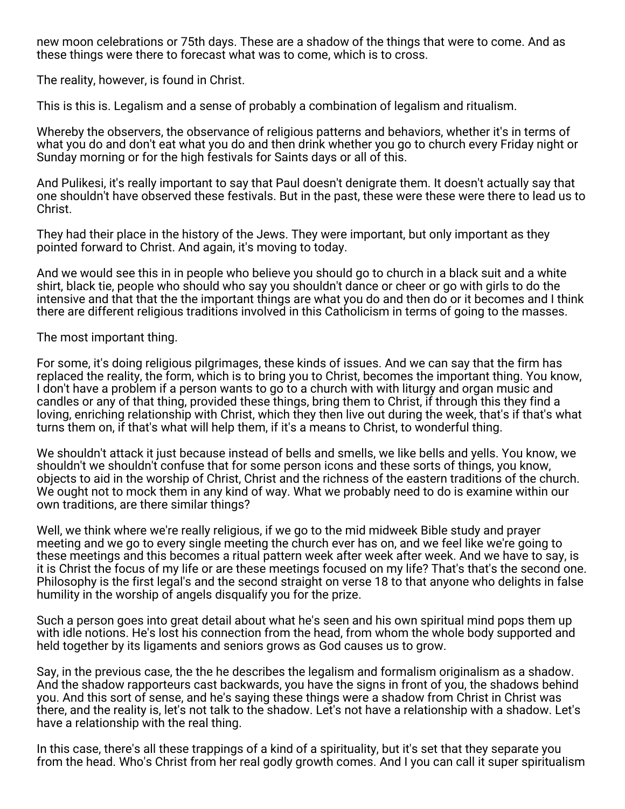new moon celebrations or 75th days. These are a shadow of the things that were to come. And as these things were there to forecast what was to come, which is to cross.

The reality, however, is found in Christ.

This is this is. Legalism and a sense of probably a combination of legalism and ritualism.

Whereby the observers, the observance of religious patterns and behaviors, whether it's in terms of what you do and don't eat what you do and then drink whether you go to church every Friday night or Sunday morning or for the high festivals for Saints days or all of this.

And Pulikesi, it's really important to say that Paul doesn't denigrate them. It doesn't actually say that one shouldn't have observed these festivals. But in the past, these were these were there to lead us to Christ.

They had their place in the history of the Jews. They were important, but only important as they pointed forward to Christ. And again, it's moving to today.

And we would see this in in people who believe you should go to church in a black suit and a white shirt, black tie, people who should who say you shouldn't dance or cheer or go with girls to do the intensive and that that the the important things are what you do and then do or it becomes and I think there are different religious traditions involved in this Catholicism in terms of going to the masses.

The most important thing.

For some, it's doing religious pilgrimages, these kinds of issues. And we can say that the firm has replaced the reality, the form, which is to bring you to Christ, becomes the important thing. You know, I don't have a problem if a person wants to go to a church with with liturgy and organ music and candles or any of that thing, provided these things, bring them to Christ, if through this they find a loving, enriching relationship with Christ, which they then live out during the week, that's if that's what turns them on, if that's what will help them, if it's a means to Christ, to wonderful thing.

We shouldn't attack it just because instead of bells and smells, we like bells and yells. You know, we shouldn't we shouldn't confuse that for some person icons and these sorts of things, you know, objects to aid in the worship of Christ, Christ and the richness of the eastern traditions of the church. We ought not to mock them in any kind of way. What we probably need to do is examine within our own traditions, are there similar things?

Well, we think where we're really religious, if we go to the mid midweek Bible study and prayer meeting and we go to every single meeting the church ever has on, and we feel like we're going to these meetings and this becomes a ritual pattern week after week after week. And we have to say, is it is Christ the focus of my life or are these meetings focused on my life? That's that's the second one. Philosophy is the first legal's and the second straight on verse 18 to that anyone who delights in false humility in the worship of angels disqualify you for the prize.

Such a person goes into great detail about what he's seen and his own spiritual mind pops them up with idle notions. He's lost his connection from the head, from whom the whole body supported and held together by its ligaments and seniors grows as God causes us to grow.

Say, in the previous case, the the he describes the legalism and formalism originalism as a shadow. And the shadow rapporteurs cast backwards, you have the signs in front of you, the shadows behind you. And this sort of sense, and he's saying these things were a shadow from Christ in Christ was there, and the reality is, let's not talk to the shadow. Let's not have a relationship with a shadow. Let's have a relationship with the real thing.

In this case, there's all these trappings of a kind of a spirituality, but it's set that they separate you from the head. Who's Christ from her real godly growth comes. And I you can call it super spiritualism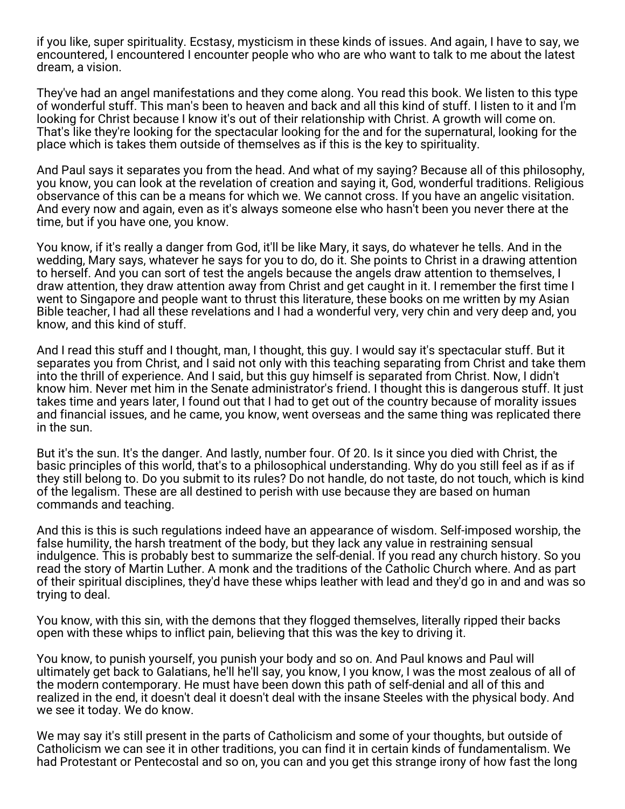if you like, super spirituality. Ecstasy, mysticism in these kinds of issues. And again, I have to say, we encountered, I encountered I encounter people who who are who want to talk to me about the latest dream, a vision.

They've had an angel manifestations and they come along. You read this book. We listen to this type of wonderful stuff. This man's been to heaven and back and all this kind of stuff. I listen to it and I'm looking for Christ because I know it's out of their relationship with Christ. A growth will come on. That's like they're looking for the spectacular looking for the and for the supernatural, looking for the place which is takes them outside of themselves as if this is the key to spirituality.

And Paul says it separates you from the head. And what of my saying? Because all of this philosophy, you know, you can look at the revelation of creation and saying it, God, wonderful traditions. Religious observance of this can be a means for which we. We cannot cross. If you have an angelic visitation. And every now and again, even as it's always someone else who hasn't been you never there at the time, but if you have one, you know.

You know, if it's really a danger from God, it'll be like Mary, it says, do whatever he tells. And in the wedding, Mary says, whatever he says for you to do, do it. She points to Christ in a drawing attention to herself. And you can sort of test the angels because the angels draw attention to themselves, I draw attention, they draw attention away from Christ and get caught in it. I remember the first time I went to Singapore and people want to thrust this literature, these books on me written by my Asian Bible teacher, I had all these revelations and I had a wonderful very, very chin and very deep and, you know, and this kind of stuff.

And I read this stuff and I thought, man, I thought, this guy. I would say it's spectacular stuff. But it separates you from Christ, and I said not only with this teaching separating from Christ and take them into the thrill of experience. And I said, but this guy himself is separated from Christ. Now, I didn't know him. Never met him in the Senate administrator's friend. I thought this is dangerous stuff. It just takes time and years later, I found out that I had to get out of the country because of morality issues and financial issues, and he came, you know, went overseas and the same thing was replicated there in the sun.

But it's the sun. It's the danger. And lastly, number four. Of 20. Is it since you died with Christ, the basic principles of this world, that's to a philosophical understanding. Why do you still feel as if as if they still belong to. Do you submit to its rules? Do not handle, do not taste, do not touch, which is kind of the legalism. These are all destined to perish with use because they are based on human commands and teaching.

And this is this is such regulations indeed have an appearance of wisdom. Self-imposed worship, the false humility, the harsh treatment of the body, but they lack any value in restraining sensual indulgence. This is probably best to summarize the self-denial. If you read any church history. So you read the story of Martin Luther. A monk and the traditions of the Catholic Church where. And as part of their spiritual disciplines, they'd have these whips leather with lead and they'd go in and and was so trying to deal.

You know, with this sin, with the demons that they flogged themselves, literally ripped their backs open with these whips to inflict pain, believing that this was the key to driving it.

You know, to punish yourself, you punish your body and so on. And Paul knows and Paul will ultimately get back to Galatians, he'll he'll say, you know, I you know, I was the most zealous of all of the modern contemporary. He must have been down this path of self-denial and all of this and realized in the end, it doesn't deal it doesn't deal with the insane Steeles with the physical body. And we see it today. We do know.

We may say it's still present in the parts of Catholicism and some of your thoughts, but outside of Catholicism we can see it in other traditions, you can find it in certain kinds of fundamentalism. We had Protestant or Pentecostal and so on, you can and you get this strange irony of how fast the long